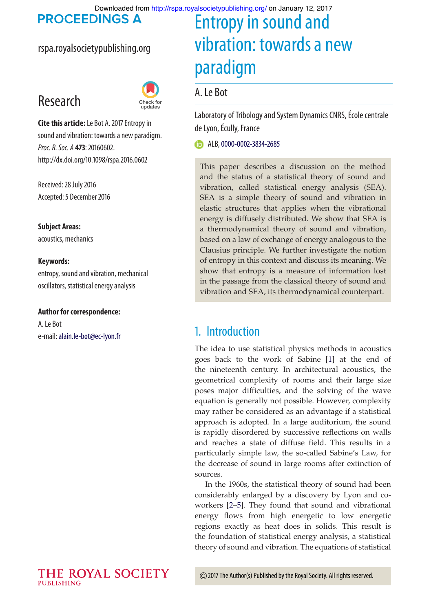Downloaded from<http://rspa.royalsocietypublishing.org/>on January 12, 2017

**PROCEEDINGS A** 

#### rspa.royalsocietypublishing.org

## Research



**Cite this article:** Le Bot A. 2017 Entropy in sound and vibration: towards a new paradigm. *Proc. R. Soc. A* **473**:20160602. http://dx.doi.org/10.1098/rspa.2016.0602

Received: 28 July 2016 Accepted: 5 December 2016

**Subject Areas:** acoustics, mechanics

#### **Keywords:**

entropy, sound and vibration, mechanical oscillators, statistical energy analysis

#### **Author for correspondence:**

A. Le Bot e-mail:[alain.le-bot@ec-lyon.fr](mailto:alain.le-bot@ec-lyon.fr)

# Entropy in sound and vibration: towards a new paradigm

#### A. Le Bot

Laboratory of Tribology and System Dynamics CNRS, École centrale de Lyon, Écully, France

**D** ALB, [0000](http://orcid.org/0000-0002-3834-2685)-0002-3834-2685

This paper describes a discussion on the method and the status of a statistical theory of sound and vibration, called statistical energy analysis (SEA). SEA is a simple theory of sound and vibration in elastic structures that applies when the vibrational energy is diffusely distributed. We show that SEA is a thermodynamical theory of sound and vibration, based on a law of exchange of energy analogous to the Clausius principle. We further investigate the notion of entropy in this context and discuss its meaning. We show that entropy is a measure of information lost in the passage from the classical theory of sound and vibration and SEA, its thermodynamical counterpart.

## 1. Introduction

The idea to use statistical physics methods in acoustics goes back to the work of Sabine [\[1\]](#page-7-0) at the end of the nineteenth century. In architectural acoustics, the geometrical complexity of rooms and their large size poses major difficulties, and the solving of the wave equation is generally not possible. However, complexity may rather be considered as an advantage if a statistical approach is adopted. In a large auditorium, the sound is rapidly disordered by successive reflections on walls and reaches a state of diffuse field. This results in a particularly simple law, the so-called Sabine's Law, for the decrease of sound in large rooms after extinction of sources.

In the 1960s, the statistical theory of sound had been considerably enlarged by a discovery by Lyon and coworkers [\[2](#page-7-1)[–5\]](#page-8-0). They found that sound and vibrational energy flows from high energetic to low energetic regions exactly as heat does in solids. This result is the foundation of statistical energy analysis, a statistical theory of sound and vibration. The equations of statistical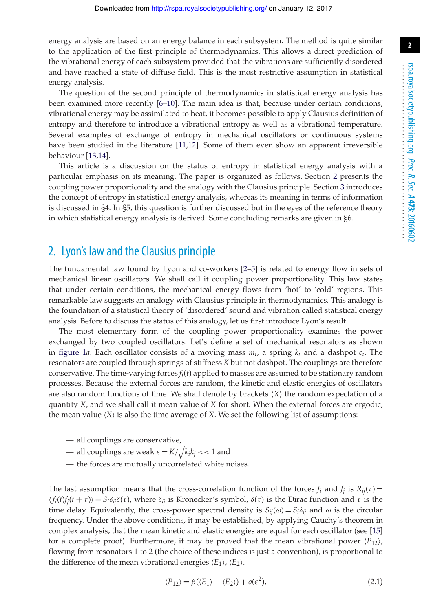**2**

energy analysis are based on an energy balance in each subsystem. The method is quite similar to the application of the first principle of thermodynamics. This allows a direct prediction of the vibrational energy of each subsystem provided that the vibrations are sufficiently disordered and have reached a state of diffuse field. This is the most restrictive assumption in statistical energy analysis.

The question of the second principle of thermodynamics in statistical energy analysis has been examined more recently [\[6–](#page-8-1)[10\]](#page-8-2). The main idea is that, because under certain conditions, vibrational energy may be assimilated to heat, it becomes possible to apply Clausius definition of entropy and therefore to introduce a vibrational entropy as well as a vibrational temperature. Several examples of exchange of entropy in mechanical oscillators or continuous systems have been studied in the literature [\[11](#page-8-3)[,12\]](#page-8-4). Some of them even show an apparent irreversible behaviour [\[13](#page-8-5)[,14\]](#page-8-6).

This article is a discussion on the status of entropy in statistical energy analysis with a particular emphasis on its meaning. The paper is organized as follows. Section [2](#page-1-0) presents the coupling power proportionality and the analogy with the Clausius principle. Section [3](#page-3-0) introduces the concept of entropy in statistical energy analysis, whereas its meaning in terms of information is discussed in §4. In §5, this question is further discussed but in the eyes of the reference theory in which statistical energy analysis is derived. Some concluding remarks are given in §6.

#### <span id="page-1-0"></span>2. Lyon's law and the Clausius principle

The fundamental law found by Lyon and co-workers [\[2–](#page-7-1)[5\]](#page-8-0) is related to energy flow in sets of mechanical linear oscillators. We shall call it coupling power proportionality. This law states that under certain conditions, the mechanical energy flows from 'hot' to 'cold' regions. This remarkable law suggests an analogy with Clausius principle in thermodynamics. This analogy is the foundation of a statistical theory of 'disordered' sound and vibration called statistical energy analysis. Before to discuss the status of this analogy, let us first introduce Lyon's result.

The most elementary form of the coupling power proportionality examines the power exchanged by two coupled oscillators. Let's define a set of mechanical resonators as shown in [figure 1](#page-2-0)*a*. Each oscillator consists of a moving mass  $m_i$ , a spring  $k_i$  and a dashpot  $c_i$ . The resonators are coupled through springs of stiffness *K* but not dashpot. The couplings are therefore conservative. The time-varying forces *fi*(*t*) applied to masses are assumed to be stationary random processes. Because the external forces are random, the kinetic and elastic energies of oscillators are also random functions of time. We shall denote by brackets ⟨*X*⟩ the random expectation of a quantity *X*, and we shall call it mean value of *X* for short. When the external forces are ergodic, the mean value ⟨*X*⟩ is also the time average of *X*. We set the following list of assumptions:

- all couplings are conservative,
- all couplings are weak  $\epsilon = K/\sqrt{k_i k_j} << 1$  and
- the forces are mutually uncorrelated white noises.

The last assumption means that the cross-correlation function of the forces  $f_i$  and  $f_j$  is  $R_{ij}(\tau)$  =  $\langle f_i(t) f_j(t+\tau) \rangle = S_i \delta_{ij} \delta(\tau)$ , where  $\delta_{ij}$  is Kronecker's symbol,  $\delta(\tau)$  is the Dirac function and  $\tau$  is the time delay. Equivalently, the cross-power spectral density is  $S_{ij}(\omega) = S_i \delta_{ij}$  and  $\omega$  is the circular frequency. Under the above conditions, it may be established, by applying Cauchy's theorem in complex analysis, that the mean kinetic and elastic energies are equal for each oscillator (see [\[15\]](#page-8-7) for a complete proof). Furthermore, it may be proved that the mean vibrational power  $\langle P_{12} \rangle$ , flowing from resonators 1 to 2 (the choice of these indices is just a convention), is proportional to the difference of the mean vibrational energies  $\langle E_1 \rangle$ ,  $\langle E_2 \rangle$ .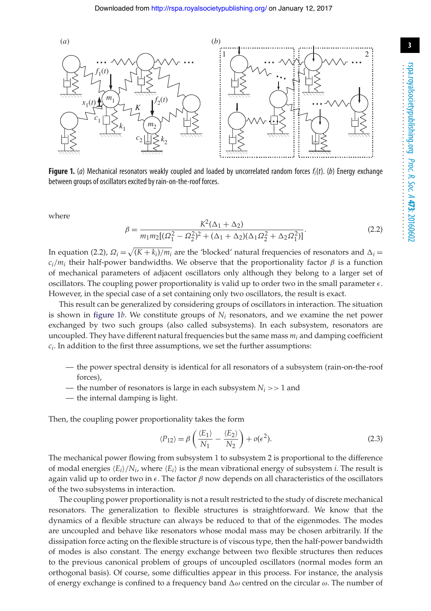

<span id="page-2-0"></span>**Figure 1.** (*a*) Mechanical resonators weakly coupled and loaded by uncorrelated random forces *fi*(*t*). (*b*) Energy exchange between groups of oscillators excited by rain-on-the-roof forces.

where

$$
\beta = \frac{K^2(\Delta_1 + \Delta_2)}{m_1 m_2 [(\Omega_1^2 - \Omega_2^2)^2 + (\Delta_1 + \Delta_2)(\Delta_1 \Omega_2^2 + \Delta_2 \Omega_1^2)]}.
$$
\n(2.2)

In equation (2.2),  $\Omega_i = \sqrt{(K+k_i)/m_i}$  are the 'blocked' natural frequencies of resonators and  $\Delta_i$  $c_i/m_i$  their half-power bandwidths. We observe that the proportionality factor  $\beta$  is a function of mechanical parameters of adjacent oscillators only although they belong to a larger set of oscillators. The coupling power proportionality is valid up to order two in the small parameter  $\epsilon$ . However, in the special case of a set containing only two oscillators, the result is exact.

This result can be generalized by considering groups of oscillators in interaction. The situation is shown in [figure 1](#page-2-0) $b$ . We constitute groups of  $N_i$  resonators, and we examine the net power exchanged by two such groups (also called subsystems). In each subsystem, resonators are uncoupled. They have different natural frequencies but the same mass *mi* and damping coefficient *ci*. In addition to the first three assumptions, we set the further assumptions:

- the power spectral density is identical for all resonators of a subsystem (rain-on-the-roof forces),
- the number of resonators is large in each subsystem  $N_i \gg 1$  and
- the internal damping is light.

Then, the coupling power proportionality takes the form

$$
\langle P_{12} \rangle = \beta \left( \frac{\langle E_1 \rangle}{N_1} - \frac{\langle E_2 \rangle}{N_2} \right) + o(\epsilon^2). \tag{2.3}
$$

The mechanical power flowing from subsystem 1 to subsystem 2 is proportional to the difference of modal energies  $\langle E_i \rangle / N_i$ , where  $\langle E_i \rangle$  is the mean vibrational energy of subsystem *i*. The result is again valid up to order two in  $\epsilon$ . The factor  $\beta$  now depends on all characteristics of the oscillators of the two subsystems in interaction.

The coupling power proportionality is not a result restricted to the study of discrete mechanical resonators. The generalization to flexible structures is straightforward. We know that the dynamics of a flexible structure can always be reduced to that of the eigenmodes. The modes are uncoupled and behave like resonators whose modal mass may be chosen arbitrarily. If the dissipation force acting on the flexible structure is of viscous type, then the half-power bandwidth of modes is also constant. The energy exchange between two flexible structures then reduces to the previous canonical problem of groups of uncoupled oscillators (normal modes form an orthogonal basis). Of course, some difficulties appear in this process. For instance, the analysis of energy exchange is confined to a frequency band  $\Delta\omega$  centred on the circular  $\omega$ . The number of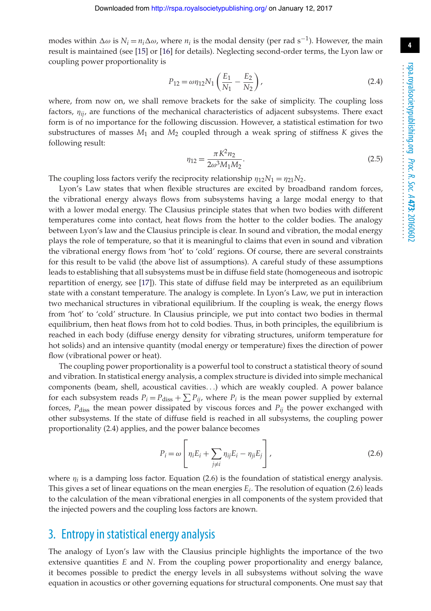modes within  $\Delta \omega$  is  $N_i = n_i \Delta \omega$ , where  $n_i$  is the modal density (per rad s<sup>-1</sup>). However, the main result is maintained (see [\[15\]](#page-8-7) or [\[16\]](#page-8-8) for details). Neglecting second-order terms, the Lyon law or coupling power proportionality is

$$
P_{12} = \omega \eta_{12} N_1 \left(\frac{E_1}{N_1} - \frac{E_2}{N_2}\right),\tag{2.4}
$$

where, from now on, we shall remove brackets for the sake of simplicity. The coupling loss factors, η*ij*, are functions of the mechanical characteristics of adjacent subsystems. There exact form is of no importance for the following discussion. However, a statistical estimation for two substructures of masses *M*<sup>1</sup> and *M*<sup>2</sup> coupled through a weak spring of stiffness *K* gives the following result:

$$
\eta_{12} = \frac{\pi K^2 n_2}{2\omega^3 M_1 M_2}.
$$
\n(2.5)

The coupling loss factors verify the reciprocity relationship  $\eta_{12}N_1 = \eta_{21}N_2$ .

Lyon's Law states that when flexible structures are excited by broadband random forces, the vibrational energy always flows from subsystems having a large modal energy to that with a lower modal energy. The Clausius principle states that when two bodies with different temperatures come into contact, heat flows from the hotter to the colder bodies. The analogy between Lyon's law and the Clausius principle is clear. In sound and vibration, the modal energy plays the role of temperature, so that it is meaningful to claims that even in sound and vibration the vibrational energy flows from 'hot' to 'cold' regions. Of course, there are several constraints for this result to be valid (the above list of assumptions). A careful study of these assumptions leads to establishing that all subsystems must be in diffuse field state (homogeneous and isotropic repartition of energy, see [\[17\]](#page-8-9)). This state of diffuse field may be interpreted as an equilibrium state with a constant temperature. The analogy is complete. In Lyon's Law, we put in interaction two mechanical structures in vibrational equilibrium. If the coupling is weak, the energy flows from 'hot' to 'cold' structure. In Clausius principle, we put into contact two bodies in thermal equilibrium, then heat flows from hot to cold bodies. Thus, in both principles, the equilibrium is reached in each body (diffuse energy density for vibrating structures, uniform temperature for hot solids) and an intensive quantity (modal energy or temperature) fixes the direction of power flow (vibrational power or heat).

The coupling power proportionality is a powerful tool to construct a statistical theory of sound and vibration. In statistical energy analysis, a complex structure is divided into simple mechanical components (beam, shell, acoustical cavities*...*) which are weakly coupled. A power balance for each subsystem reads  $P_i = P_{\text{diss}} + \sum P_{ij}$ , where  $P_i$  is the mean power supplied by external forces,  $P_{\text{diss}}$  the mean power dissipated by viscous forces and  $P_{ij}$  the power exchanged with other subsystems. If the state of diffuse field is reached in all subsystems, the coupling power proportionality (2.4) applies, and the power balance becomes

$$
P_i = \omega \left[ \eta_i E_i + \sum_{j \neq i} \eta_{ij} E_i - \eta_{ji} E_j \right],
$$
\n(2.6)

where  $\eta_i$  is a damping loss factor. Equation (2.6) is the foundation of statistical energy analysis. This gives a set of linear equations on the mean energies *Ei*. The resolution of equation (2.6) leads to the calculation of the mean vibrational energies in all components of the system provided that the injected powers and the coupling loss factors are known.

#### <span id="page-3-0"></span>3. Entropy in statistical energy analysis

The analogy of Lyon's law with the Clausius principle highlights the importance of the two extensive quantities *E* and *N*. From the coupling power proportionality and energy balance, it becomes possible to predict the energy levels in all subsystems without solving the wave equation in acoustics or other governing equations for structural components. One must say that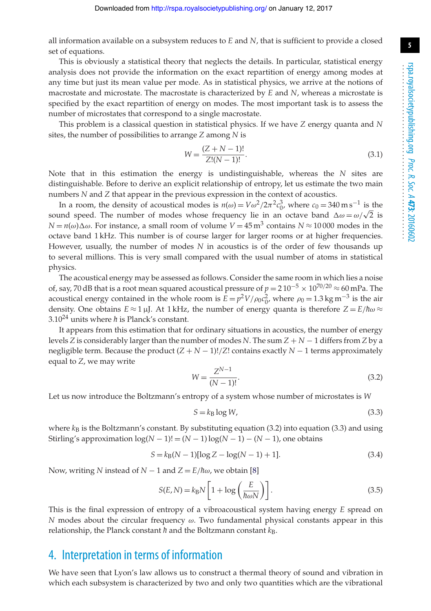all information available on a subsystem reduces to *E* and *N*, that is sufficient to provide a closed set of equations.

This is obviously a statistical theory that neglects the details. In particular, statistical energy analysis does not provide the information on the exact repartition of energy among modes at any time but just its mean value per mode. As in statistical physics, we arrive at the notions of macrostate and microstate. The macrostate is characterized by *E* and *N*, whereas a microstate is specified by the exact repartition of energy on modes. The most important task is to assess the number of microstates that correspond to a single macrostate.

This problem is a classical question in statistical physics. If we have *Z* energy quanta and *N* sites, the number of possibilities to arrange *Z* among *N* is

$$
W = \frac{(Z + N - 1)!}{Z!(N - 1)!}.
$$
\n(3.1)

Note that in this estimation the energy is undistinguishable, whereas the *N* sites are distinguishable. Before to derive an explicit relationship of entropy, let us estimate the two main numbers *N* and *Z* that appear in the previous expression in the context of acoustics.

In a room, the density of acoustical modes is  $n(\omega) = V \omega^2 / 2\pi^2 c_0^3$ , where  $c_0 = 340 \text{ m s}^{-1}$  is the sound speed. The number of modes whose frequency lie in an octave band  $\Delta \omega = \omega / \sqrt{2}$  is  $N = n(\omega) \Delta \omega$ . For instance, a small room of volume  $V = 45 \text{ m}^3$  contains  $N \approx 10000$  modes in the octave band 1 kHz. This number is of course larger for larger rooms or at higher frequencies. However, usually, the number of modes *N* in acoustics is of the order of few thousands up to several millions. This is very small compared with the usual number of atoms in statistical physics.

The acoustical energy may be assessed as follows. Consider the same room in which lies a noise of, say, 70 dB that is a root mean squared acoustical pressure of *<sup>p</sup>* <sup>=</sup> 2 10−<sup>5</sup> <sup>×</sup> 1070*/*<sup>20</sup> <sup>≈</sup> 60 mPa. The acoustical energy contained in the whole room is  $E = p^2 V / \rho_0 c_0^2$ , where  $\rho_0 = 1.3 \text{ kg m}^{-3}$  is the air density. One obtains  $E \approx 1 \mu J$ . At 1 kHz, the number of energy quanta is therefore  $Z = E/h\omega \approx$ 3.10<sup>24</sup> units where  $\hbar$  is Planck's constant.

It appears from this estimation that for ordinary situations in acoustics, the number of energy levels *Z* is considerably larger than the number of modes *N*. The sum *Z* + *N* − 1 differs from *Z* by a negligible term. Because the product  $(Z + N - 1)!/Z!$  contains exactly  $N - 1$  terms approximately equal to *Z*, we may write

$$
W = \frac{Z^{N-1}}{(N-1)!}.
$$
\n(3.2)

Let us now introduce the Boltzmann's entropy of a system whose number of microstates is *W*

$$
S = k_{\text{B}} \log W,\tag{3.3}
$$

where  $k_B$  is the Boltzmann's constant. By substituting equation (3.2) into equation (3.3) and using Stirling's approximation  $log(N - 1)! = (N - 1)log(N - 1) - (N - 1)$ , one obtains

$$
S = k_{\text{B}}(N-1)[\log Z - \log(N-1) + 1].\tag{3.4}
$$

Now, writing *N* instead of *N* − 1 and  $Z = E/\hbar\omega$ , we obtain [\[8\]](#page-8-10)

$$
S(E, N) = k_{\text{B}} N \left[ 1 + \log \left( \frac{E}{\hbar \omega N} \right) \right].
$$
 (3.5)

This is the final expression of entropy of a vibroacoustical system having energy *E* spread on *N* modes about the circular frequency  $\omega$ . Two fundamental physical constants appear in this relationship, the Planck constant *h* and the Boltzmann constant *k*<sub>B</sub>.

#### 4. Interpretation in terms of information

We have seen that Lyon's law allows us to construct a thermal theory of sound and vibration in which each subsystem is characterized by two and only two quantities which are the vibrational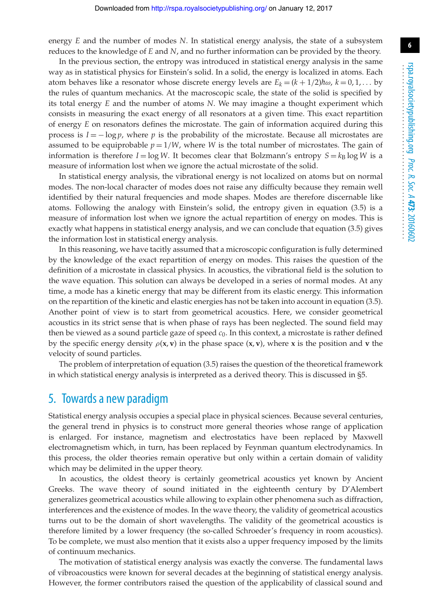energy *E* and the number of modes *N*. In statistical energy analysis, the state of a subsystem reduces to the knowledge of *E* and *N*, and no further information can be provided by the theory.

In the previous section, the entropy was introduced in statistical energy analysis in the same way as in statistical physics for Einstein's solid. In a solid, the energy is localized in atoms. Each atom behaves like a resonator whose discrete energy levels are  $E_k = (k + 1/2) \hbar \omega$ ,  $k = 0, 1, \dots$  by the rules of quantum mechanics. At the macroscopic scale, the state of the solid is specified by its total energy *E* and the number of atoms *N*. We may imagine a thought experiment which consists in measuring the exact energy of all resonators at a given time. This exact repartition of energy *E* on resonators defines the microstate. The gain of information acquired during this process is  $I = -\log p$ , where p is the probability of the microstate. Because all microstates are assumed to be equiprobable  $p = 1/W$ , where *W* is the total number of microstates. The gain of information is therefore  $I = \log W$ . It becomes clear that Bolzmann's entropy  $S = k_B \log W$  is a measure of information lost when we ignore the actual microstate of the solid.

In statistical energy analysis, the vibrational energy is not localized on atoms but on normal modes. The non-local character of modes does not raise any difficulty because they remain well identified by their natural frequencies and mode shapes. Modes are therefore discernable like atoms. Following the analogy with Einstein's solid, the entropy given in equation (3.5) is a measure of information lost when we ignore the actual repartition of energy on modes. This is exactly what happens in statistical energy analysis, and we can conclude that equation (3.5) gives the information lost in statistical energy analysis.

In this reasoning, we have tacitly assumed that a microscopic configuration is fully determined by the knowledge of the exact repartition of energy on modes. This raises the question of the definition of a microstate in classical physics. In acoustics, the vibrational field is the solution to the wave equation. This solution can always be developed in a series of normal modes. At any time, a mode has a kinetic energy that may be different from its elastic energy. This information on the repartition of the kinetic and elastic energies has not be taken into account in equation (3.5). Another point of view is to start from geometrical acoustics. Here, we consider geometrical acoustics in its strict sense that is when phase of rays has been neglected. The sound field may then be viewed as a sound particle gaze of speed *c*0. In this context, a microstate is rather defined by the specific energy density  $\rho$ (**x**, **v**) in the phase space (**x**, **v**), where **x** is the position and **v** the velocity of sound particles.

The problem of interpretation of equation (3.5) raises the question of the theoretical framework in which statistical energy analysis is interpreted as a derived theory. This is discussed in §5.

#### 5. Towards a new paradigm

Statistical energy analysis occupies a special place in physical sciences. Because several centuries, the general trend in physics is to construct more general theories whose range of application is enlarged. For instance, magnetism and electrostatics have been replaced by Maxwell electromagnetism which, in turn, has been replaced by Feynman quantum electrodynamics. In this process, the older theories remain operative but only within a certain domain of validity which may be delimited in the upper theory.

In acoustics, the oldest theory is certainly geometrical acoustics yet known by Ancient Greeks. The wave theory of sound initiated in the eighteenth century by D'Alembert generalizes geometrical acoustics while allowing to explain other phenomena such as diffraction, interferences and the existence of modes. In the wave theory, the validity of geometrical acoustics turns out to be the domain of short wavelengths. The validity of the geometrical acoustics is therefore limited by a lower frequency (the so-called Schroeder's frequency in room acoustics). To be complete, we must also mention that it exists also a upper frequency imposed by the limits of continuum mechanics.

The motivation of statistical energy analysis was exactly the converse. The fundamental laws of vibroacoustics were known for several decades at the beginning of statistical energy analysis. However, the former contributors raised the question of the applicability of classical sound and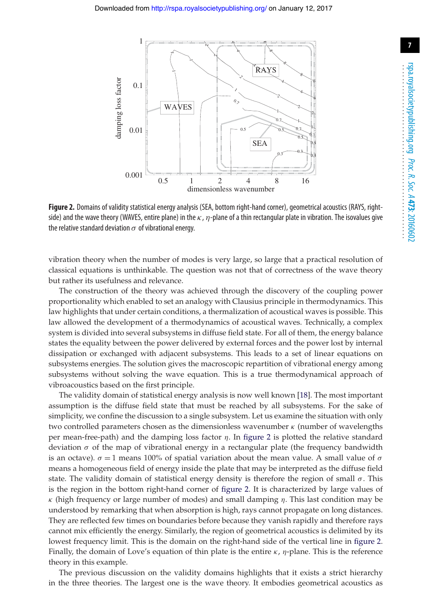

<span id="page-6-0"></span>**Figure 2.** Domains of validity statistical energy analysis (SEA, bottom right-hand corner), geometrical acoustics (RAYS, rightside) and the wave theory (WAVES, entire plane) in the  $\kappa$ ,  $\eta$ -plane of a thin rectangular plate in vibration. The isovalues give the relative standard deviation  $\sigma$  of vibrational energy.

vibration theory when the number of modes is very large, so large that a practical resolution of classical equations is unthinkable. The question was not that of correctness of the wave theory but rather its usefulness and relevance.

The construction of the theory was achieved through the discovery of the coupling power proportionality which enabled to set an analogy with Clausius principle in thermodynamics. This law highlights that under certain conditions, a thermalization of acoustical waves is possible. This law allowed the development of a thermodynamics of acoustical waves. Technically, a complex system is divided into several subsystems in diffuse field state. For all of them, the energy balance states the equality between the power delivered by external forces and the power lost by internal dissipation or exchanged with adjacent subsystems. This leads to a set of linear equations on subsystems energies. The solution gives the macroscopic repartition of vibrational energy among subsystems without solving the wave equation. This is a true thermodynamical approach of vibroacoustics based on the first principle.

The validity domain of statistical energy analysis is now well known [\[18\]](#page-8-11). The most important assumption is the diffuse field state that must be reached by all subsystems. For the sake of simplicity, we confine the discussion to a single subsystem. Let us examine the situation with only two controlled parameters chosen as the dimensionless wavenumber  $\kappa$  (number of wavelengths per mean-free-path) and the damping loss factor  $\eta$ . In [figure 2](#page-6-0) is plotted the relative standard deviation  $\sigma$  of the map of vibrational energy in a rectangular plate (the frequency bandwidth is an octave).  $\sigma = 1$  means 100% of spatial variation about the mean value. A small value of  $\sigma$ means a homogeneous field of energy inside the plate that may be interpreted as the diffuse field state. The validity domain of statistical energy density is therefore the region of small  $\sigma$ . This is the region in the bottom right-hand corner of [figure 2.](#page-6-0) It is characterized by large values of κ (high frequency or large number of modes) and small damping η. This last condition may be understood by remarking that when absorption is high, rays cannot propagate on long distances. They are reflected few times on boundaries before because they vanish rapidly and therefore rays cannot mix efficiently the energy. Similarly, the region of geometrical acoustics is delimited by its lowest frequency limit. This is the domain on the right-hand side of the vertical line in [figure 2.](#page-6-0) Finally, the domain of Love's equation of thin plate is the entire  $\kappa$ ,  $\eta$ -plane. This is the reference theory in this example.

The previous discussion on the validity domains highlights that it exists a strict hierarchy in the three theories. The largest one is the wave theory. It embodies geometrical acoustics as **7**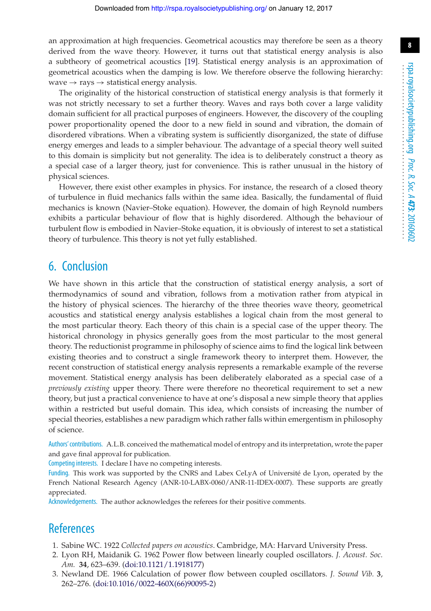an approximation at high frequencies. Geometrical acoustics may therefore be seen as a theory derived from the wave theory. However, it turns out that statistical energy analysis is also a subtheory of geometrical acoustics [\[19\]](#page-8-12). Statistical energy analysis is an approximation of geometrical acoustics when the damping is low. We therefore observe the following hierarchy: wave  $\rightarrow$  rays  $\rightarrow$  statistical energy analysis.

The originality of the historical construction of statistical energy analysis is that formerly it was not strictly necessary to set a further theory. Waves and rays both cover a large validity domain sufficient for all practical purposes of engineers. However, the discovery of the coupling power proportionality opened the door to a new field in sound and vibration, the domain of disordered vibrations. When a vibrating system is sufficiently disorganized, the state of diffuse energy emerges and leads to a simpler behaviour. The advantage of a special theory well suited to this domain is simplicity but not generality. The idea is to deliberately construct a theory as a special case of a larger theory, just for convenience. This is rather unusual in the history of physical sciences.

However, there exist other examples in physics. For instance, the research of a closed theory of turbulence in fluid mechanics falls within the same idea. Basically, the fundamental of fluid mechanics is known (Navier–Stoke equation). However, the domain of high Reynold numbers exhibits a particular behaviour of flow that is highly disordered. Although the behaviour of turbulent flow is embodied in Navier–Stoke equation, it is obviously of interest to set a statistical theory of turbulence. This theory is not yet fully established.

#### 6. Conclusion

We have shown in this article that the construction of statistical energy analysis, a sort of thermodynamics of sound and vibration, follows from a motivation rather from atypical in the history of physical sciences. The hierarchy of the three theories wave theory, geometrical acoustics and statistical energy analysis establishes a logical chain from the most general to the most particular theory. Each theory of this chain is a special case of the upper theory. The historical chronology in physics generally goes from the most particular to the most general theory. The reductionist programme in philosophy of science aims to find the logical link between existing theories and to construct a single framework theory to interpret them. However, the recent construction of statistical energy analysis represents a remarkable example of the reverse movement. Statistical energy analysis has been deliberately elaborated as a special case of a *previously existing* upper theory. There were therefore no theoretical requirement to set a new theory, but just a practical convenience to have at one's disposal a new simple theory that applies within a restricted but useful domain. This idea, which consists of increasing the number of special theories, establishes a new paradigm which rather falls within emergentism in philosophy of science.

Authors' contributions. A.L.B. conceived the mathematical model of entropy and its interpretation, wrote the paper and gave final approval for publication.

Competing interests. I declare I have no competing interests.

Funding. This work was supported by the CNRS and Labex CeLyA of Université de Lyon, operated by the French National Research Agency (ANR-10-LABX-0060/ANR-11-IDEX-0007). These supports are greatly appreciated.

Acknowledgements. The author acknowledges the referees for their positive comments.

## <span id="page-7-0"></span>**References**

- <span id="page-7-1"></span>1. Sabine WC. 1922 *Collected papers on acoustics*. Cambridge, MA: Harvard University Press.
- 2. Lyon RH, Maidanik G. 1962 Power flow between linearly coupled oscillators. *J. Acoust. Soc. Am.* **34**, 623–639. [\(doi:10.1121/1.1918177\)](http://dx.doi.org/doi:10.1121/1.1918177)
- 3. Newland DE. 1966 Calculation of power flow between coupled oscillators. *J. Sound Vib.* **3**, 262–276. [\(doi:10.1016/0022-460X\(66\)90095-2\)](http://dx.doi.org/doi:10.1016/0022-460X(66)90095-2)